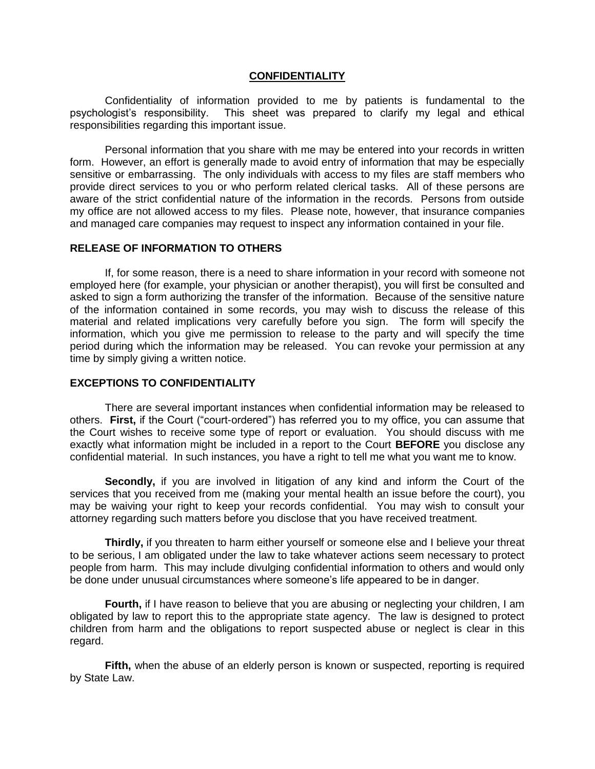## **CONFIDENTIALITY**

Confidentiality of information provided to me by patients is fundamental to the psychologist's responsibility. This sheet was prepared to clarify my legal and ethical responsibilities regarding this important issue.

Personal information that you share with me may be entered into your records in written form. However, an effort is generally made to avoid entry of information that may be especially sensitive or embarrassing. The only individuals with access to my files are staff members who provide direct services to you or who perform related clerical tasks. All of these persons are aware of the strict confidential nature of the information in the records. Persons from outside my office are not allowed access to my files. Please note, however, that insurance companies and managed care companies may request to inspect any information contained in your file.

## **RELEASE OF INFORMATION TO OTHERS**

If, for some reason, there is a need to share information in your record with someone not employed here (for example, your physician or another therapist), you will first be consulted and asked to sign a form authorizing the transfer of the information. Because of the sensitive nature of the information contained in some records, you may wish to discuss the release of this material and related implications very carefully before you sign. The form will specify the information, which you give me permission to release to the party and will specify the time period during which the information may be released. You can revoke your permission at any time by simply giving a written notice.

## **EXCEPTIONS TO CONFIDENTIALITY**

There are several important instances when confidential information may be released to others. **First,** if the Court ("court-ordered") has referred you to my office, you can assume that the Court wishes to receive some type of report or evaluation. You should discuss with me exactly what information might be included in a report to the Court **BEFORE** you disclose any confidential material. In such instances, you have a right to tell me what you want me to know.

**Secondly,** if you are involved in litigation of any kind and inform the Court of the services that you received from me (making your mental health an issue before the court), you may be waiving your right to keep your records confidential. You may wish to consult your attorney regarding such matters before you disclose that you have received treatment.

**Thirdly,** if you threaten to harm either yourself or someone else and I believe your threat to be serious, I am obligated under the law to take whatever actions seem necessary to protect people from harm. This may include divulging confidential information to others and would only be done under unusual circumstances where someone's life appeared to be in danger.

**Fourth,** if I have reason to believe that you are abusing or neglecting your children, I am obligated by law to report this to the appropriate state agency. The law is designed to protect children from harm and the obligations to report suspected abuse or neglect is clear in this regard.

**Fifth,** when the abuse of an elderly person is known or suspected, reporting is required by State Law.